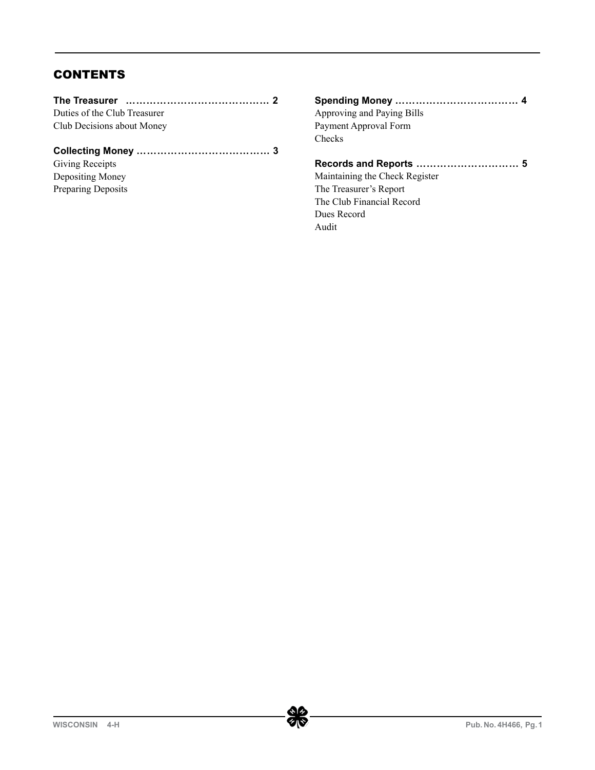# **CONTENTS**

| Duties of the Club Treasurer |  |
|------------------------------|--|
| Club Decisions about Money   |  |

# **Collecting Money ………………………………… 3**

Giving Receipts Depositing Money Preparing Deposits

| Approving and Paying Bills     |  |
|--------------------------------|--|
| Payment Approval Form          |  |
| Checks                         |  |
|                                |  |
| Maintaining the Check Register |  |
|                                |  |

The Treasurer's Report The Club Financial Record Dues Record Audit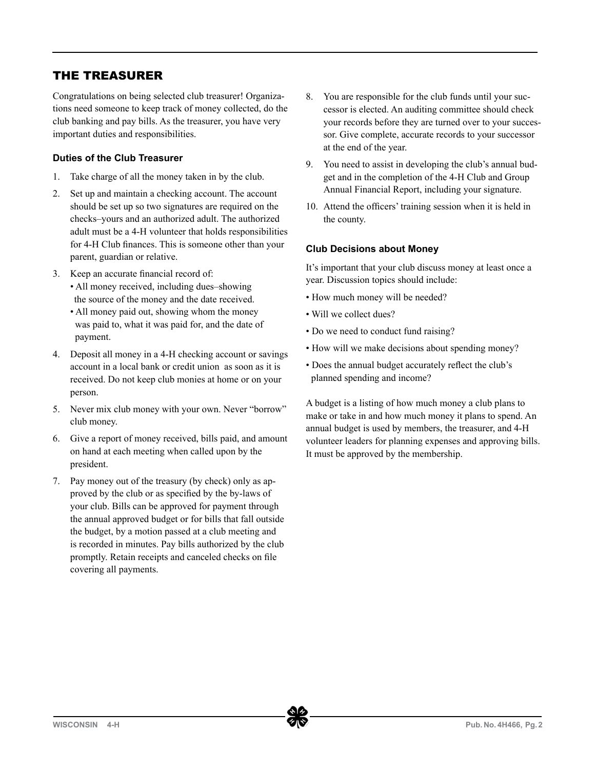## THE TREASURER

Congratulations on being selected club treasurer! Organizations need someone to keep track of money collected, do the club banking and pay bills. As the treasurer, you have very important duties and responsibilities.

## **Duties of the Club Treasurer**

- 1. Take charge of all the money taken in by the club.
- 2. Set up and maintain a checking account. The account should be set up so two signatures are required on the checks–yours and an authorized adult. The authorized adult must be a 4-H volunteer that holds responsibilities for 4-H Club finances. This is someone other than your parent, guardian or relative.
- 3. Keep an accurate financial record of: • All money received, including dues–showing the source of the money and the date received.
	- All money paid out, showing whom the money was paid to, what it was paid for, and the date of payment.
- 4. Deposit all money in a 4-H checking account or savings account in a local bank or credit union as soon as it is received. Do not keep club monies at home or on your person.
- 5. Never mix club money with your own. Never "borrow" club money.
- 6. Give a report of money received, bills paid, and amount on hand at each meeting when called upon by the president.
- 7. Pay money out of the treasury (by check) only as approved by the club or as specified by the by-laws of your club. Bills can be approved for payment through the annual approved budget or for bills that fall outside the budget, by a motion passed at a club meeting and is recorded in minutes. Pay bills authorized by the club promptly. Retain receipts and canceled checks on file covering all payments.
- 8. You are responsible for the club funds until your successor is elected. An auditing committee should check your records before they are turned over to your successor. Give complete, accurate records to your successor at the end of the year.
- 9. You need to assist in developing the club's annual budget and in the completion of the 4-H Club and Group Annual Financial Report, including your signature.
- 10. Attend the officers' training session when it is held in the county.

## **Club Decisions about Money**

It's important that your club discuss money at least once a year. Discussion topics should include:

- How much money will be needed?
- Will we collect dues?
- Do we need to conduct fund raising?
- How will we make decisions about spending money?
- Does the annual budget accurately reflect the club's planned spending and income?

A budget is a listing of how much money a club plans to make or take in and how much money it plans to spend. An annual budget is used by members, the treasurer, and 4-H volunteer leaders for planning expenses and approving bills. It must be approved by the membership.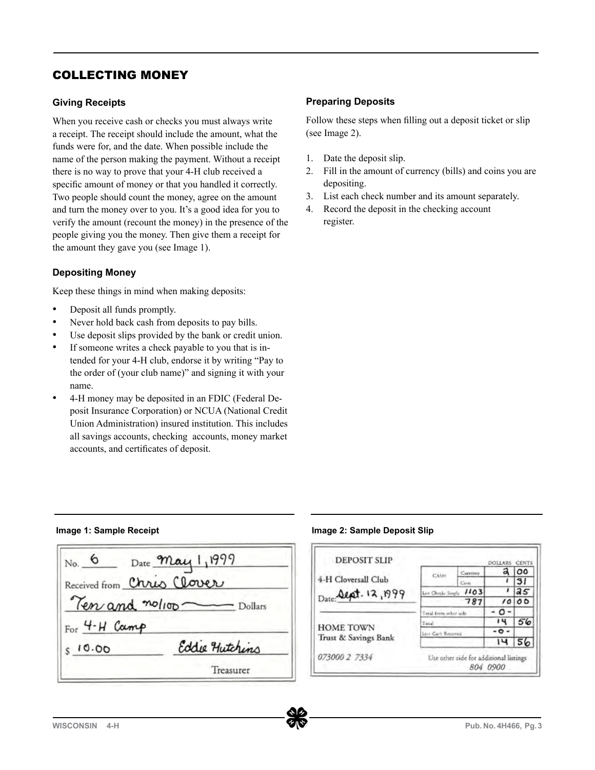## COLLECTING MONEY

## **Giving Receipts**

When you receive cash or checks you must always write a receipt. The receipt should include the amount, what the funds were for, and the date. When possible include the name of the person making the payment. Without a receipt there is no way to prove that your 4-H club received a specific amount of money or that you handled it correctly. Two people should count the money, agree on the amount and turn the money over to you. It's a good idea for you to verify the amount (recount the money) in the presence of the people giving you the money. Then give them a receipt for the amount they gave you (see Image 1).

## **Depositing Money**

Keep these things in mind when making deposits:

- Deposit all funds promptly.
- Never hold back cash from deposits to pay bills.
- Use deposit slips provided by the bank or credit union.
- If someone writes a check payable to you that is intended for your 4-H club, endorse it by writing "Pay to the order of (your club name)" and signing it with your name.
- 4-H money may be deposited in an FDIC (Federal Deposit Insurance Corporation) or NCUA (National Credit Union Administration) insured institution. This includes all savings accounts, checking accounts, money market accounts, and certificates of deposit.

## **Preparing Deposits**

Follow these steps when filling out a deposit ticket or slip (see Image 2).

- 1. Date the deposit slip.
- 2. Fill in the amount of currency (bills) and coins you are depositing.
- 3. List each check number and its amount separately.
- 4. Record the deposit in the checking account register.

**Image 1: Sample Receipt Image 2: Sample Deposit Slip**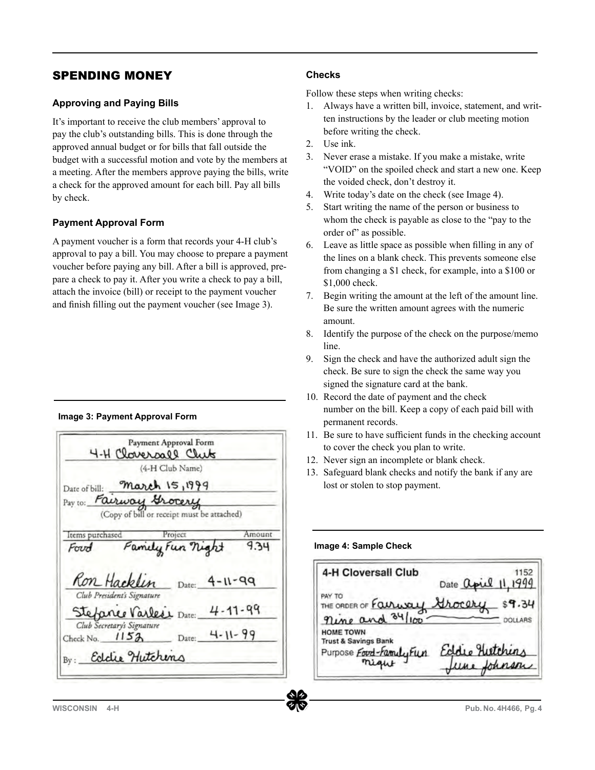## SPENDING MONEY

### **Approving and Paying Bills**

It's important to receive the club members' approval to pay the club's outstanding bills. This is done through the approved annual budget or for bills that fall outside the budget with a successful motion and vote by the members at a meeting. After the members approve paying the bills, write a check for the approved amount for each bill. Pay all bills by check.

## **Payment Approval Form**

A payment voucher is a form that records your 4-H club's approval to pay a bill. You may choose to prepare a payment voucher before paying any bill. After a bill is approved, prepare a check to pay it. After you write a check to pay a bill, attach the invoice (bill) or receipt to the payment voucher and finish filling out the payment voucher (see Image 3).

#### **Image 3: Payment Approval Form**

|                                                | Payment Approval Form<br>4-H Cloversall Club |               |
|------------------------------------------------|----------------------------------------------|---------------|
|                                                | (4-H Club Name)                              |               |
|                                                | Date of bill: March 15, $2015$               |               |
| Pay to: Fairway Grocery                        |                                              |               |
|                                                | (Copy of bill or receipt must be attached)   |               |
|                                                |                                              |               |
| Items purchased                                | Project                                      | Amount        |
| Foud                                           | Family Fun night                             | 9.34          |
|                                                |                                              |               |
|                                                |                                              |               |
|                                                |                                              |               |
| Ron Hacklin                                    |                                              | Date: 4-11-15 |
| Club President's Signature                     |                                              |               |
|                                                |                                              |               |
|                                                | Steppne Varless Date:                        | $4 - 11 - 15$ |
| Club Secretary's Signature<br>Check No. $1152$ | Date:                                        | $4 - 11 - 15$ |

### **Checks**

Follow these steps when writing checks:

- 1. Always have a written bill, invoice, statement, and written instructions by the leader or club meeting motion before writing the check.
- 2. Use ink.
- 3. Never erase a mistake. If you make a mistake, write "VOID" on the spoiled check and start a new one. Keep the voided check, don't destroy it.
- 4. Write today's date on the check (see Image 4).
- 5. Start writing the name of the person or business to whom the check is payable as close to the "pay to the order of" as possible.
- 6. Leave as little space as possible when filling in any of the lines on a blank check. This prevents someone else from changing a \$1 check, for example, into a \$100 or \$1,000 check.
- 7. Begin writing the amount at the left of the amount line. Be sure the written amount agrees with the numeric amount.
- 8. Identify the purpose of the check on the purpose/memo line.
- 9. Sign the check and have the authorized adult sign the check. Be sure to sign the check the same way you signed the signature card at the bank.
- 10. Record the date of payment and the check number on the bill. Keep a copy of each paid bill with permanent records.
- 11. Be sure to have sufficient funds in the checking account to cover the check you plan to write.
- 12. Never sign an incomplete or blank check.
- 13. Safeguard blank checks and notify the bank if any are lost or stolen to stop payment.

#### **Image 4: Sample Check**

4-H Cloversall Club 1152 Date april  $11.2$   $015$ PAY  $.34$ THE ORDER OF  $91 \text{ m}$ **HOME TOWN Trust & Savings Bank** Purpose Food-Family Film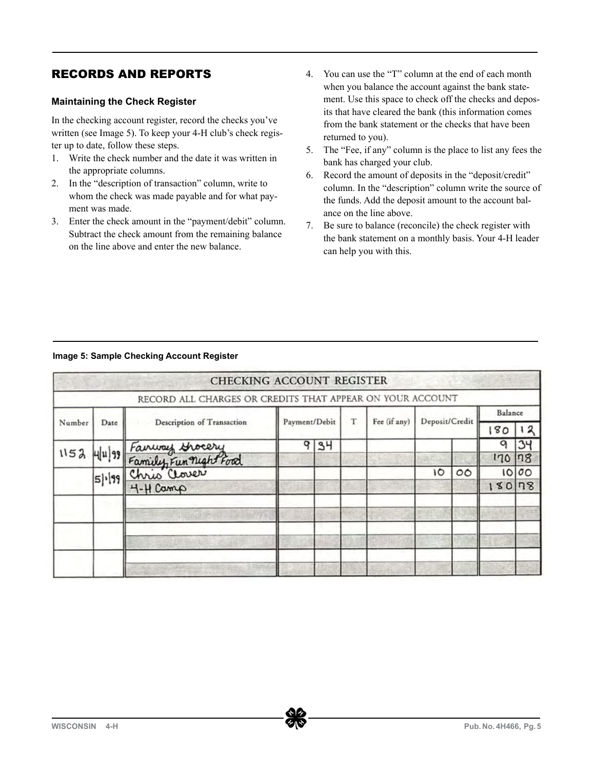## RECORDS AND REPORTS

## **Maintaining the Check Register**

In the checking account register, record the checks you've written (see Image 5). To keep your 4-H club's check register up to date, follow these steps.

- 1. Write the check number and the date it was written in the appropriate columns.
- 2. In the "description of transaction" column, write to whom the check was made payable and for what payment was made.
- 3. Enter the check amount in the "payment/debit" column. Subtract the check amount from the remaining balance on the line above and enter the new balance.
- 4. You can use the "T" column at the end of each month when you balance the account against the bank statement. Use this space to check off the checks and deposits that have cleared the bank (this information comes from the bank statement or the checks that have been returned to you).
- 5. The "Fee, if any" column is the place to list any fees the bank has charged your club.
- 6. Record the amount of deposits in the "deposit/credit" column. In the "description" column write the source of the funds. Add the deposit amount to the account balance on the line above.
- 7. Be sure to balance (reconcile) the check register with the bank statement on a monthly basis. Your 4-H leader can help you with this.

#### **Image 5: Sample Checking Account Register**

|        |      | CHECKING ACCOUNT REGISTER                                                     |               |    |   |              |                |         |         |          |
|--------|------|-------------------------------------------------------------------------------|---------------|----|---|--------------|----------------|---------|---------|----------|
|        |      | RECORD ALL CHARGES OR CREDITS THAT APPEAR ON YOUR ACCOUNT                     |               |    |   |              |                |         |         |          |
|        |      |                                                                               | Payment/Debit |    |   |              |                |         | Balance |          |
| Number | Date | Description of Transaction                                                    |               |    | T | Fee (if any) | Deposit/Credit |         | 80      |          |
|        |      |                                                                               | o             | 34 |   |              |                |         |         |          |
|        |      |                                                                               |               |    |   |              |                |         | 170     | 78       |
|        |      |                                                                               |               |    |   |              | 10             | $\circ$ | 10      | $\sigma$ |
|        |      | 1152 4/11/15 Fairway Grocery<br>5/115 Family Fun night Food<br>5/115 H-H Camp |               |    |   |              |                |         | 180     | n8       |
|        |      |                                                                               |               |    |   |              |                |         |         |          |
|        |      |                                                                               |               |    |   |              |                |         |         |          |
|        |      | <b>SUSTINE</b>                                                                |               |    |   |              |                |         |         |          |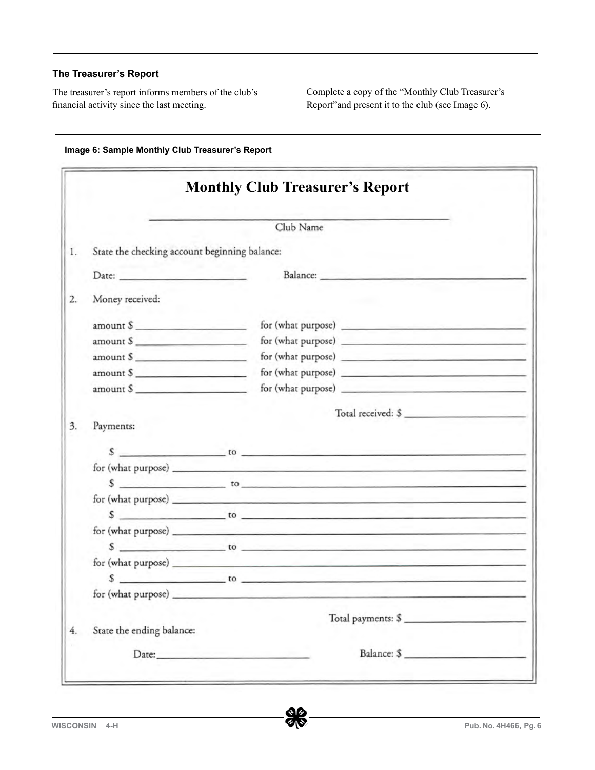### **The Treasurer's Report**

The treasurer's report informs members of the club's financial activity since the last meeting.

Complete a copy of the "Monthly Club Treasurer's Report"and present it to the club (see Image 6).

|                                                              | Club Name                                                                                                                                                                                                                                                                                                                   |  |
|--------------------------------------------------------------|-----------------------------------------------------------------------------------------------------------------------------------------------------------------------------------------------------------------------------------------------------------------------------------------------------------------------------|--|
| State the checking account beginning balance:                |                                                                                                                                                                                                                                                                                                                             |  |
|                                                              |                                                                                                                                                                                                                                                                                                                             |  |
|                                                              |                                                                                                                                                                                                                                                                                                                             |  |
| Money received:                                              |                                                                                                                                                                                                                                                                                                                             |  |
| $amount \S$                                                  |                                                                                                                                                                                                                                                                                                                             |  |
| amount \$                                                    |                                                                                                                                                                                                                                                                                                                             |  |
| amount \$                                                    |                                                                                                                                                                                                                                                                                                                             |  |
| amount \$                                                    |                                                                                                                                                                                                                                                                                                                             |  |
| $amount \$                                                   |                                                                                                                                                                                                                                                                                                                             |  |
|                                                              | Total received: \$                                                                                                                                                                                                                                                                                                          |  |
|                                                              |                                                                                                                                                                                                                                                                                                                             |  |
|                                                              | $\sqrt[3]{\phantom{a}}$ to $\phantom{a}$ to $\phantom{a}$                                                                                                                                                                                                                                                                   |  |
|                                                              | for (what purpose)<br>$\frac{1}{2}$ $\frac{1}{2}$ $\frac{1}{2}$ $\frac{1}{2}$ $\frac{1}{2}$ to $\frac{1}{2}$ to $\frac{1}{2}$ is $\frac{1}{2}$ in $\frac{1}{2}$ in $\frac{1}{2}$ is $\frac{1}{2}$ in $\frac{1}{2}$ in $\frac{1}{2}$ is $\frac{1}{2}$ in $\frac{1}{2}$ in $\frac{1}{2}$ is $\frac{1}{2}$ in $\frac{1}{2}$ in |  |
|                                                              | for (what purpose) experience and the set of the set of the set of the set of the set of the set of the set of the set of the set of the set of the set of the set of the set of the set of the set of the set of the set of t                                                                                              |  |
|                                                              |                                                                                                                                                                                                                                                                                                                             |  |
|                                                              | $\sim$ to $\sim$ to $\sim$<br>for (what purpose) experience and the set of the set of the set of the set of the set of the set of the set of the set of the set of the set of the set of the set of the set of the set of the set of the set of the set of t                                                                |  |
|                                                              |                                                                                                                                                                                                                                                                                                                             |  |
|                                                              |                                                                                                                                                                                                                                                                                                                             |  |
|                                                              |                                                                                                                                                                                                                                                                                                                             |  |
|                                                              |                                                                                                                                                                                                                                                                                                                             |  |
|                                                              |                                                                                                                                                                                                                                                                                                                             |  |
| Payments:<br>for (what purpose)<br>State the ending balance: | Total payments: \$                                                                                                                                                                                                                                                                                                          |  |

**Image 6: Sample Monthly Club Treasurer's Report**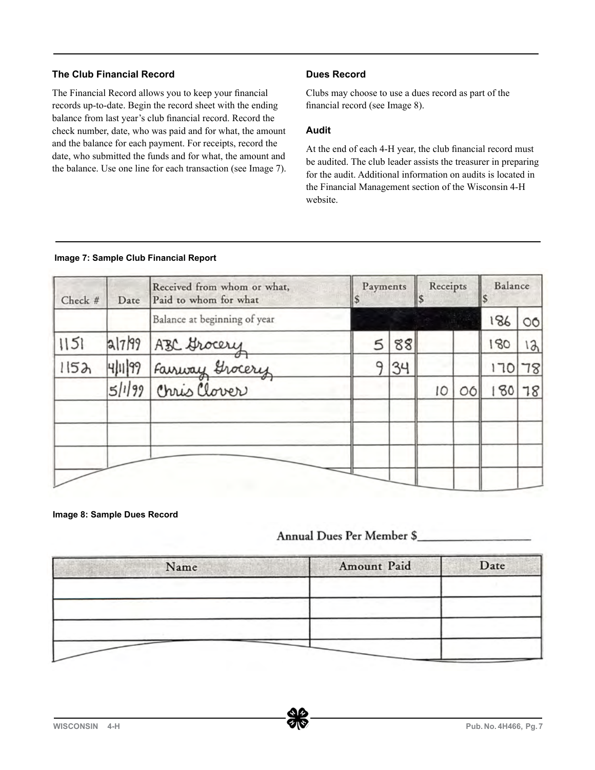## **The Club Financial Record**

The Financial Record allows you to keep your financial records up-to-date. Begin the record sheet with the ending balance from last year's club financial record. Record the check number, date, who was paid and for what, the amount and the balance for each payment. For receipts, record the date, who submitted the funds and for what, the amount and the balance. Use one line for each transaction (see Image 7).

## **Dues Record**

Clubs may choose to use a dues record as part of the financial record (see Image 8).

## **Audit**

At the end of each 4-H year, the club financial record must be audited. The club leader assists the treasurer in preparing for the audit. Additional information on audits is located in the Financial Management section of the Wisconsin 4-H website.

#### **Image 7: Sample Club Financial Report**

| Check # | Date | Received from whom or what,<br>Paid to whom for what                 | Payments    |    | Receipts<br>IS |   | Balance |         |
|---------|------|----------------------------------------------------------------------|-------------|----|----------------|---|---------|---------|
|         |      | Balance at beginning of year                                         |             |    |                |   | 186     | $\circ$ |
| 1151    |      |                                                                      | $\varsigma$ | 88 |                |   | 180     | 12      |
| 1152    |      |                                                                      | ۵           | 34 |                |   | 170     | 78      |
|         |      | al7/15 ABC Grocery<br>4/11/15 Fairway Grocery<br>5/1/15 Chris Clover |             |    | 10             | Ω | 180     | 78      |
|         |      |                                                                      |             |    |                |   |         |         |

**Image 8: Sample Dues Record**

# Annual Dues Per Member \$

| Name | Amount Paid | Date |
|------|-------------|------|
|      |             |      |
|      |             |      |
|      |             |      |
|      |             |      |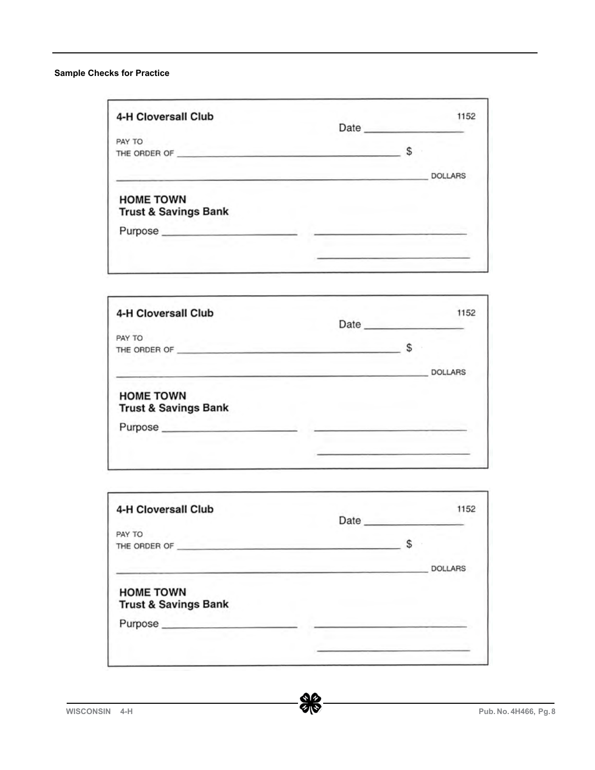### **Sample Checks for Practice**

| PAY TO<br>THE ORDER OF          | S |                |
|---------------------------------|---|----------------|
|                                 |   |                |
|                                 |   |                |
|                                 |   | <b>DOLLARS</b> |
| <b>HOME TOWN</b>                |   |                |
| <b>Trust &amp; Savings Bank</b> |   |                |
| Purpose                         |   |                |

| 4-H Cloversall Club                                 | Date |   | 1152           |
|-----------------------------------------------------|------|---|----------------|
| PAY TO                                              |      |   |                |
| THE ORDER OF                                        |      | S |                |
|                                                     |      |   | <b>DOLLARS</b> |
| <b>HOME TOWN</b><br><b>Trust &amp; Savings Bank</b> |      |   |                |
| Purpose                                             |      |   |                |
|                                                     |      |   |                |
|                                                     |      |   |                |

| 4-H Cloversall Club             | Date |   | 1152           |
|---------------------------------|------|---|----------------|
| PAY TO                          |      |   |                |
| THE ORDER OF                    |      | S |                |
|                                 |      |   | <b>DOLLARS</b> |
| <b>HOME TOWN</b>                |      |   |                |
| <b>Trust &amp; Savings Bank</b> |      |   |                |
|                                 |      |   |                |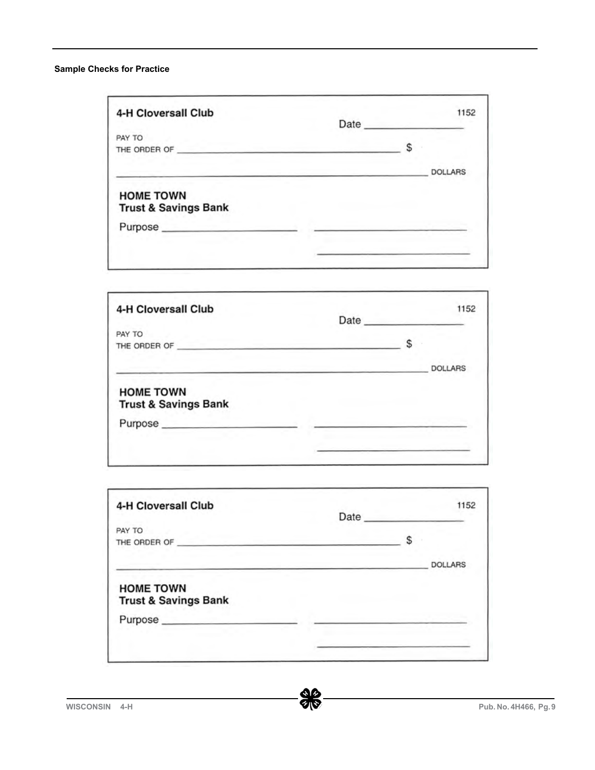#### **Sample Checks for Practice**

| 4-H Cloversall Club                                 | Date <b>Date</b> |   | 1152           |
|-----------------------------------------------------|------------------|---|----------------|
| PAY TO                                              |                  |   |                |
| THE ORDER OF                                        |                  | S |                |
|                                                     |                  |   | <b>DOLLARS</b> |
| <b>HOME TOWN</b><br><b>Trust &amp; Savings Bank</b> |                  |   |                |
|                                                     |                  |   |                |

| 4-H Cloversall Club                                 |   | 1152<br>Date <b>Date</b> |
|-----------------------------------------------------|---|--------------------------|
| PAY TO                                              |   |                          |
| THE ORDER OF                                        | S |                          |
|                                                     |   | <b>DOLLARS</b>           |
| <b>HOME TOWN</b><br><b>Trust &amp; Savings Bank</b> |   |                          |
| Purpose                                             |   |                          |
|                                                     |   |                          |
|                                                     |   |                          |

| 4-H Cloversall Club                                 | Date |   | 1152           |
|-----------------------------------------------------|------|---|----------------|
| PAY TO                                              |      |   |                |
| THE ORDER OF                                        |      | S |                |
|                                                     |      |   | <b>DOLLARS</b> |
| <b>HOME TOWN</b><br><b>Trust &amp; Savings Bank</b> |      |   |                |
|                                                     |      |   |                |
|                                                     |      |   |                |
|                                                     |      |   |                |